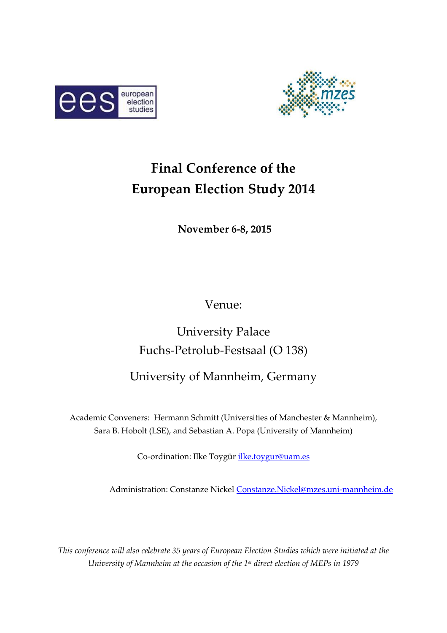



# **Final Conference of the European Election Study 2014**

**November 6-8, 2015** 

Venue:

# University Palace Fuchs-Petrolub-Festsaal (O 138)

# University of Mannheim, Germany

Academic Conveners:Hermann Schmitt (Universities of Manchester & Mannheim), Sara B. Hobolt (LSE), and Sebastian A. Popa (University of Mannheim)

Co-ordination: Ilke Toygür *ilke.toygur@uam.es* 

Administration: Constanze Nickel [Constanze.Nickel@mzes.uni-mannheim.de](mailto:Constanze.Nickel@mzes.uni-mannheim.de)

*This conference will also celebrate 35 years of European Election Studies which were initiated at the University of Mannheim at the occasion of the 1st direct election of MEPs in 1979*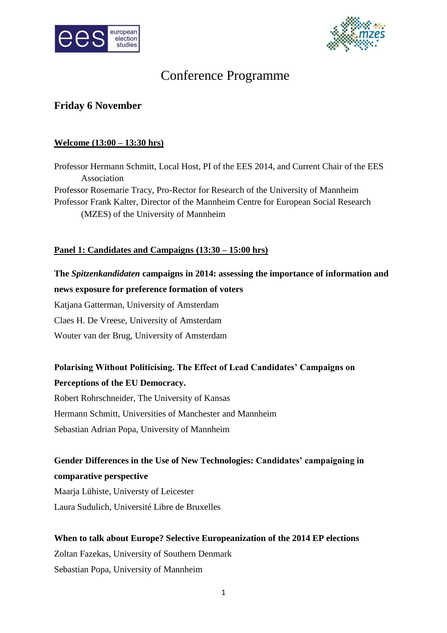



# Conference Programme

## **Friday 6 November**

#### **Welcome (13:00 – 13:30 hrs)**

Professor Hermann Schmitt, Local Host, PI of the EES 2014, and Current Chair of the EES Association Professor Rosemarie Tracy, Pro-Rector for Research of the University of Mannheim Professor Frank Kalter, Director of the Mannheim Centre for European Social Research (MZES) of the University of Mannheim

## **Panel 1: Candidates and Campaigns (13:30 – 15:00 hrs)**

## **The** *Spitzenkandidaten* **campaigns in 2014: assessing the importance of information and news exposure for preference formation of voters**

Katjana Gatterman, University of Amsterdam Claes H. De Vreese, University of Amsterdam Wouter van der Brug, University of Amsterdam

## **Polarising Without Politicising. The Effect of Lead Candidates' Campaigns on Perceptions of the EU Democracy.**

Robert Rohrschneider, The University of Kansas Hermann Schmitt, Universities of Manchester and Mannheim Sebastian Adrian Popa, University of Mannheim

## **Gender Differences in the Use of New Technologies: Candidates' campaigning in comparative perspective**

Maarja Lühiste, Universty of Leicester Laura Sudulich, Université Libre de Bruxelles

## **When to talk about Europe? Selective Europeanization of the 2014 EP elections** Zoltan Fazekas, University of Southern Denmark Sebastian Popa, University of Mannheim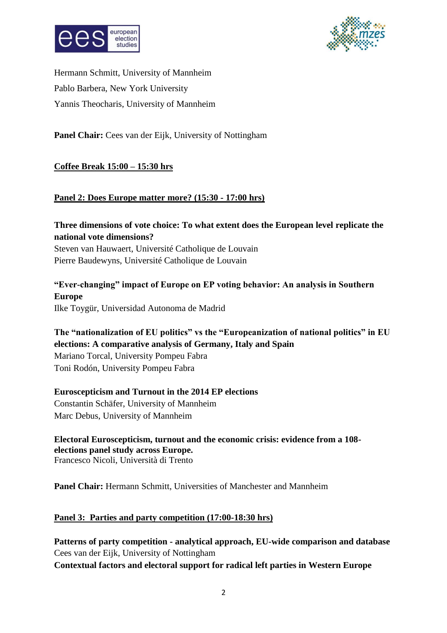



Hermann Schmitt, University of Mannheim Pablo Barbera, New York University Yannis Theocharis, University of Mannheim

Panel Chair: Cees van der Eijk, University of Nottingham

## **Coffee Break 15:00 – 15:30 hrs**

## **Panel 2: Does Europe matter more? (15:30 - 17:00 hrs)**

## **Three dimensions of vote choice: To what extent does the European level replicate the national vote dimensions?**

Steven van Hauwaert, Université Catholique de Louvain Pierre Baudewyns, Université Catholique de Louvain

## **"Ever-changing" impact of Europe on EP voting behavior: An analysis in Southern Europe**

Ilke Toygür, Universidad Autonoma de Madrid

## **The "nationalization of EU politics" vs the "Europeanization of national politics" in EU elections: A comparative analysis of Germany, Italy and Spain**

Mariano Torcal, University Pompeu Fabra Toni Rodón, University Pompeu Fabra

## **Euroscepticism and Turnout in the 2014 EP elections**

Constantin Schäfer, University of Mannheim Marc Debus, University of Mannheim

**Electoral Euroscepticism, turnout and the economic crisis: evidence from a 108 elections panel study across Europe.**  Francesco Nicoli, Università di Trento

**Panel Chair:** Hermann Schmitt, Universities of Manchester and Mannheim

## **Panel 3: Parties and party competition (17:00-18:30 hrs)**

**Patterns of party competition - analytical approach, EU-wide comparison and database** Cees van der Eijk, University of Nottingham **Contextual factors and electoral support for radical left parties in Western Europe**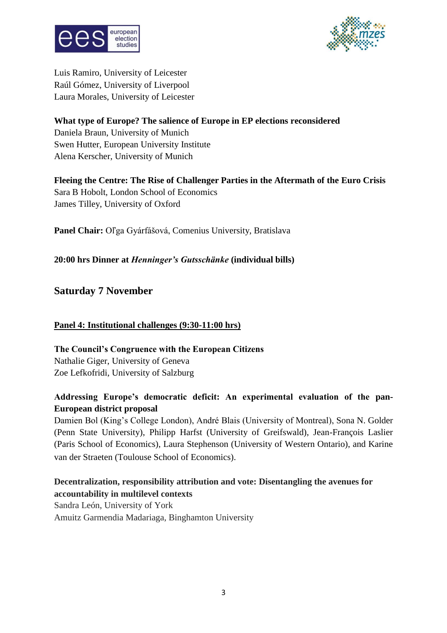



Luis Ramiro, University of Leicester Raúl Gómez, University of Liverpool Laura Morales, University of Leicester

## **What type of Europe? The salience of Europe in EP elections reconsidered**

Daniela Braun, University of Munich Swen Hutter, European University Institute Alena Kerscher, University of Munich

## **Fleeing the Centre: The Rise of Challenger Parties in the Aftermath of the Euro Crisis** Sara B Hobolt, London School of Economics James Tilley, University of Oxford

**Panel Chair:** Oľga Gyárfášová, Comenius University, Bratislava

## **20:00 hrs Dinner at** *Henninger's Gutsschänke* **(individual bills)**

**Saturday 7 November**

## **Panel 4: Institutional challenges (9:30-11:00 hrs)**

**The Council's Congruence with the European Citizens** Nathalie Giger, University of Geneva Zoe Lefkofridi, University of Salzburg

## **Addressing Europe's democratic deficit: An experimental evaluation of the pan-European district proposal**

Damien Bol (King's College London), André Blais (University of Montreal), Sona N. Golder (Penn State University), Philipp Harfst (University of Greifswald), Jean-François Laslier (Paris School of Economics), Laura Stephenson (University of Western Ontario), and Karine van der Straeten (Toulouse School of Economics).

## **Decentralization, responsibility attribution and vote: Disentangling the avenues for accountability in multilevel contexts**

Sandra León, University of York Amuitz Garmendia Madariaga, Binghamton University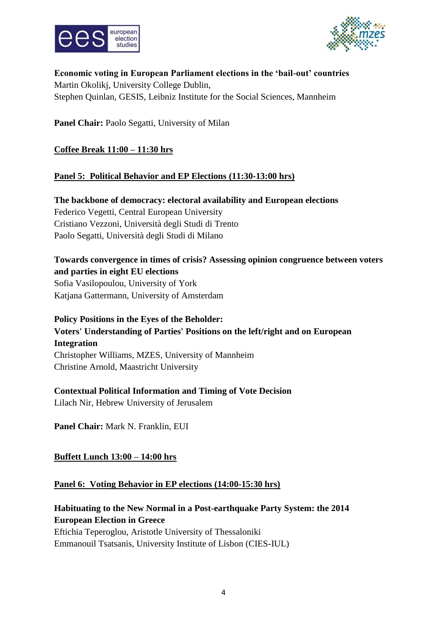



**Economic voting in European Parliament elections in the 'bail-out' countries** Martin Okolikj, University College Dublin, Stephen Quinlan, GESIS, Leibniz Institute for the Social Sciences, Mannheim

Panel Chair: Paolo Segatti, University of Milan

## **Coffee Break 11:00 – 11:30 hrs**

## **Panel 5: Political Behavior and EP Elections (11:30-13:00 hrs)**

**The backbone of democracy: electoral availability and European elections** Federico Vegetti, Central European University Cristiano Vezzoni, Università degli Studi di Trento Paolo Segatti, Università degli Studi di Milano

## **Towards convergence in times of crisis? Assessing opinion congruence between voters and parties in eight EU elections**

Sofia Vasilopoulou, University of York Katjana Gattermann, University of Amsterdam

**Policy Positions in the Eyes of the Beholder: Voters' Understanding of Parties' Positions on the left/right and on European Integration** Christopher Williams, MZES, University of Mannheim Christine Arnold, Maastricht University

## **Contextual Political Information and Timing of Vote Decision**

Lilach Nir, Hebrew University of Jerusalem

**Panel Chair:** Mark N. Franklin, EUI

## **Buffett Lunch 13:00 – 14:00 hrs**

#### **Panel 6: Voting Behavior in EP elections (14:00-15:30 hrs)**

## **Habituating to the New Normal in a Post-earthquake Party System: the 2014 European Election in Greece**

Eftichia Teperoglou, Aristotle University of Thessaloniki Emmanouil Tsatsanis, University Institute of Lisbon (CIES-IUL)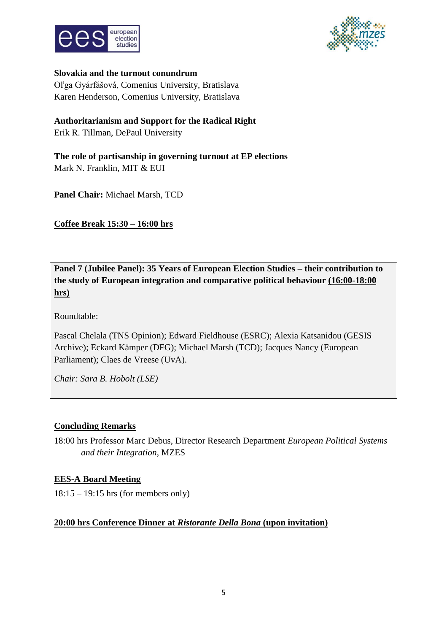



#### **Slovakia and the turnout conundrum**

Oľga Gyárfášová, Comenius University, Bratislava Karen Henderson, Comenius University, Bratislava

## **Authoritarianism and Support for the Radical Right**

Erik R. Tillman, DePaul University

**The role of partisanship in governing turnout at EP elections** Mark N. Franklin, MIT & EUI

**Panel Chair:** Michael Marsh, TCD

**Coffee Break 15:30 – 16:00 hrs** 

**Panel 7 (Jubilee Panel): 35 Years of European Election Studies – their contribution to the study of European integration and comparative political behaviour (16:00-18:00 hrs)**

Roundtable:

Pascal Chelala (TNS Opinion); Edward Fieldhouse (ESRC); Alexia Katsanidou (GESIS Archive); Eckard Kämper (DFG); Michael Marsh (TCD); Jacques Nancy (European Parliament); Claes de Vreese (UvA).

*Chair: Sara B. Hobolt (LSE)*

## **Concluding Remarks**

18:00 hrs Professor Marc Debus, Director Research Department *European Political Systems and their Integration*, MZES

## **EES-A Board Meeting**

18:15 – 19:15 hrs (for members only)

#### **20:00 hrs Conference Dinner at** *Ristorante Della Bona* **(upon invitation)**